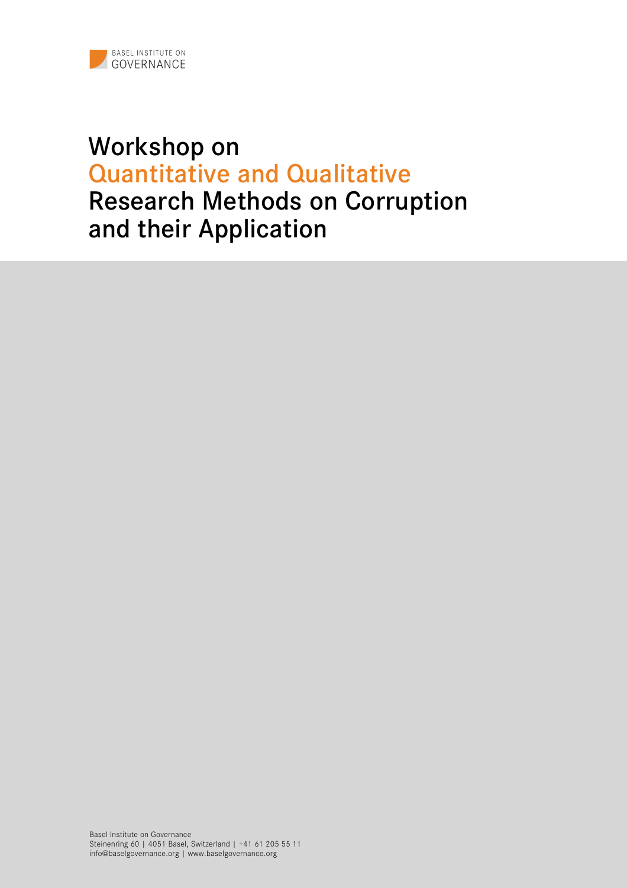

## Workshop on Quantitative and Qualitative Research Methods on Corruption and their Application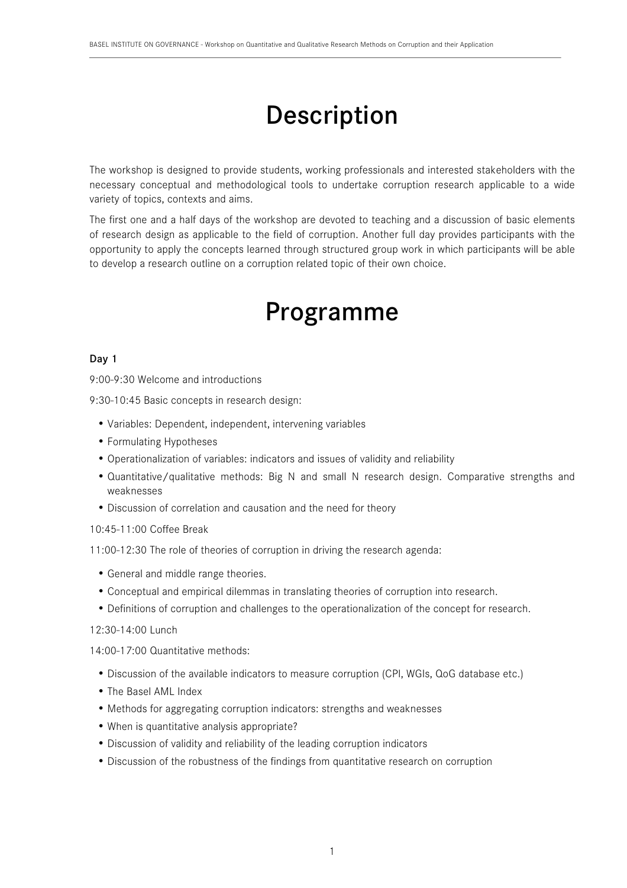# Description

The workshop is designed to provide students, working professionals and interested stakeholders with the necessary conceptual and methodological tools to undertake corruption research applicable to a wide variety of topics, contexts and aims.

The first one and a half days of the workshop are devoted to teaching and a discussion of basic elements of research design as applicable to the field of corruption. Another full day provides participants with the opportunity to apply the concepts learned through structured group work in which participants will be able to develop a research outline on a corruption related topic of their own choice.

## Programme

### Day 1

9:00-9:30 Welcome and introductions

9:30-10:45 Basic concepts in research design:

- Variables: Dependent, independent, intervening variables
- Formulating Hypotheses
- Operationalization of variables: indicators and issues of validity and reliability
- Quantitative/qualitative methods: Big N and small N research design. Comparative strengths and weaknesses
- Discussion of correlation and causation and the need for theory

#### 10:45-11:00 Coffee Break

11:00-12:30 The role of theories of corruption in driving the research agenda:

- General and middle range theories.
- Conceptual and empirical dilemmas in translating theories of corruption into research.
- Definitions of corruption and challenges to the operationalization of the concept for research.

#### 12:30-14:00 Lunch

14:00-17:00 Quantitative methods:

- Discussion of the available indicators to measure corruption (CPI, WGIs, QoG database etc.)
- The Basel AML Index
- Methods for aggregating corruption indicators: strengths and weaknesses
- When is quantitative analysis appropriate?
- Discussion of validity and reliability of the leading corruption indicators
- Discussion of the robustness of the findings from quantitative research on corruption